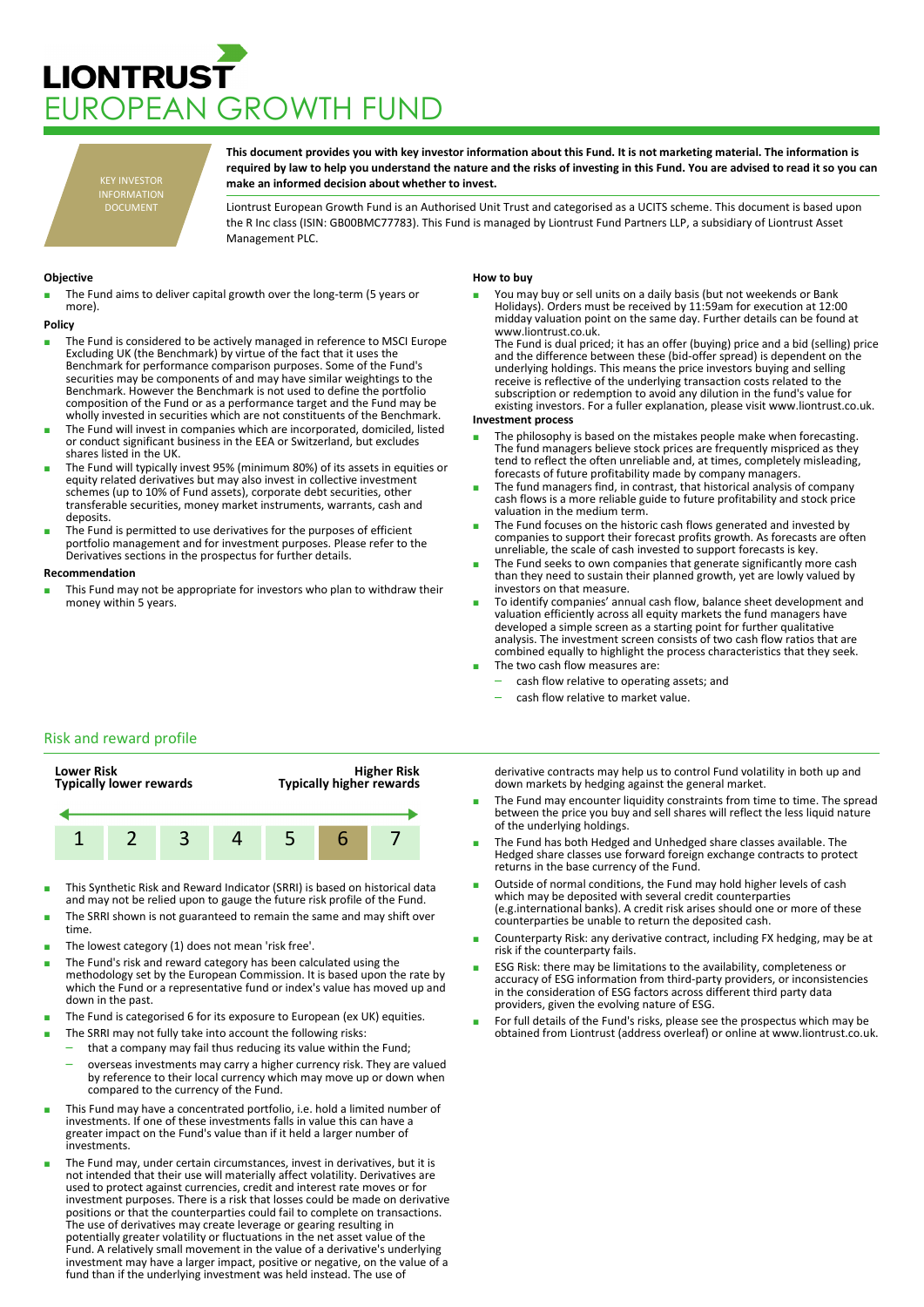# **LIONTRUST** JROPEAN GROWTH FUND

KEY INVESTOR INFORMATION DOCUMENT

**This document provides you with key investor information about this Fund. It is not marketing material. The information is required by law to help you understand the nature and the risks of investing in this Fund. You are advised to read it so you can make an informed decision about whether to invest.**

Liontrust European Growth Fund is an Authorised Unit Trust and categorised as a UCITS scheme. This document is based upon the R Inc class (ISIN: GB00BMC77783). This Fund is managed by Liontrust Fund Partners LLP, a subsidiary of Liontrust Asset Management PLC.

## **Objective**

The Fund aims to deliver capital growth over the long-term (5 years or more).

#### **Policy**

- The Fund is considered to be actively managed in reference to MSCI Europe Excluding UK (the Benchmark) by virtue of the fact that it uses the Benchmark for performance comparison purposes. Some of the Fund's securities may be components of and may have similar weightings to the Benchmark. However the Benchmark is not used to define the portfolio composition of the Fund or as a performance target and the Fund may be wholly invested in securities which are not constituents of the Benchmark.
- The Fund will invest in companies which are incorporated, domiciled, listed or conduct significant business in the EEA or Switzerland, but excludes shares listed in the UK.
- The Fund will typically invest 95% (minimum 80%) of its assets in equities or equity related derivatives but may also invest in collective investment schemes (up to 10% of Fund assets), corporate debt securities, other transferable securities, money market instruments, warrants, cash and deposits.
- The Fund is permitted to use derivatives for the purposes of efficient portfolio management and for investment purposes. Please refer to the Derivatives sections in the prospectus for further details.

#### **Recommendation**

This Fund may not be appropriate for investors who plan to withdraw their money within 5 years.

## **How to buy**

You may buy or sell units on a daily basis (but not weekends or Bank Holidays). Orders must be received by 11:59am for execution at 12:00 midday valuation point on the same day. Further details can be found at www.liontrust.co.uk.

The Fund is dual priced; it has an offer (buying) price and a bid (selling) price and the difference between these (bid-offer spread) is dependent on the underlying holdings. This means the price investors buying and selling receive is reflective of the underlying transaction costs related to the subscription or redemption to avoid any dilution in the fund's value for existing investors. For a fuller explanation, please visit www.liontrust.co.uk.

#### **Investment process**

- The philosophy is based on the mistakes people make when forecasting. The fund managers believe stock prices are frequently mispriced as they tend to reflect the often unreliable and, at times, completely misleading, forecasts of future profitability made by company managers.
- The fund managers find, in contrast, that historical analysis of company cash flows is a more reliable guide to future profitability and stock price valuation in the medium term.
- The Fund focuses on the historic cash flows generated and invested by companies to support their forecast profits growth. As forecasts are often unreliable, the scale of cash invested to support forecasts is key.
- The Fund seeks to own companies that generate significantly more cash than they need to sustain their planned growth, yet are lowly valued by investors on that measure.
- To identify companies' annual cash flow, balance sheet development and valuation efficiently across all equity markets the fund managers have developed a simple screen as a starting point for further qualitative analysis. The investment screen consists of two cash flow ratios that are combined equally to highlight the process characteristics that they seek. The two cash flow measures are:
	- cash flow relative to operating assets; and
	- cash flow relative to market value.
	-

# Risk and reward profile



- This Synthetic Risk and Reward Indicator (SRRI) is based on historical data and may not be relied upon to gauge the future risk profile of the Fund.
- The SRRI shown is not guaranteed to remain the same and may shift over time.
- The lowest category (1) does not mean 'risk free'.
- The Fund's risk and reward category has been calculated using the methodology set by the European Commission. It is based upon the rate by which the Fund or a representative fund or index's value has moved up and down in the past.
- The Fund is categorised 6 for its exposure to European (ex UK) equities.
- The SRRI may not fully take into account the following risks:
- that a company may fail thus reducing its value within the Fund;
	- overseas investments may carry a higher currency risk. They are valued by reference to their local currency which may move up or down when compared to the currency of the Fund.
- This Fund may have a concentrated portfolio, i.e. hold a limited number of investments. If one of these investments falls in value this can have a greater impact on the Fund's value than if it held a larger number of investments.
- The Fund may, under certain circumstances, invest in derivatives, but it is not intended that their use will materially affect volatility. Derivatives are used to protect against currencies, credit and interest rate moves or for investment purposes. There is a risk that losses could be made on derivative positions or that the counterparties could fail to complete on transactions. The use of derivatives may create leverage or gearing resulting in potentially greater volatility or fluctuations in the net asset value of the Fund. A relatively small movement in the value of a derivative's underlying investment may have a larger impact, positive or negative, on the value of a fund than if the underlying investment was held instead. The use of

derivative contracts may help us to control Fund volatility in both up and down markets by hedging against the general market.

- The Fund may encounter liquidity constraints from time to time. The spread between the price you buy and sell shares will reflect the less liquid nature of the underlying holdings.
- The Fund has both Hedged and Unhedged share classes available. The Hedged share classes use forward foreign exchange contracts to protect returns in the base currency of the Fund.
- Outside of normal conditions, the Fund may hold higher levels of cash which may be deposited with several credit counterparties (e.g.international banks). A credit risk arises should one or more of these counterparties be unable to return the deposited cash.
- Counterparty Risk: any derivative contract, including FX hedging, may be at risk if the counterparty fails.
- ESG Risk: there may be limitations to the availability, completeness or accuracy of ESG information from third-party providers, or inconsistencies in the consideration of ESG factors across different third party data providers, given the evolving nature of ESG.
- For full details of the Fund's risks, please see the prospectus which may be obtained from Liontrust (address overleaf) or online at www.liontrust.co.uk.